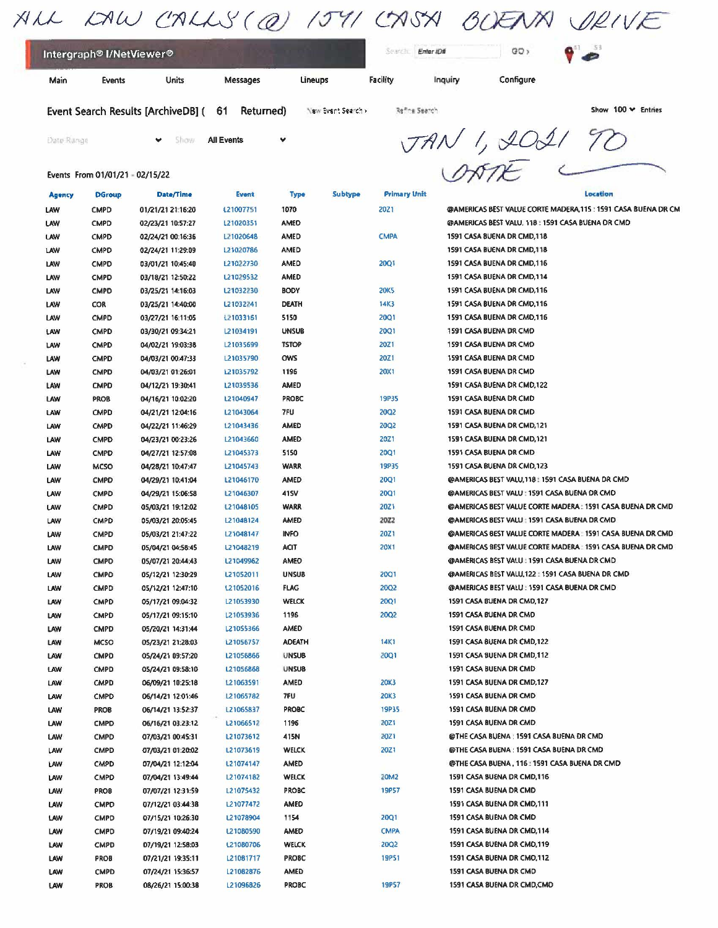|                                                  | ALL LAW CALLS (@) 1541 CASH BOEAN DRIVE |           |    |  |
|--------------------------------------------------|-----------------------------------------|-----------|----|--|
| Intergraph <sup>®</sup> I/NetViewer <sup>®</sup> |                                         | Enter ID# | GO |  |

Main Events Units Messages Lineups Facility Configure

Event Search Results [ArchiveDB] (61 Returned) New Event Search Refine Search States Show 100 Y Entries

l.

Events From 01/01/21 • 02/15/22

**y** show **All Events y** *v <i>VAN*<sup>1</sup>, 2021 70  $\frac{1}{\sqrt{1-\frac{1}{\sqrt{1-\frac{1}{\sqrt{1-\frac{1}{\sqrt{1-\frac{1}{\sqrt{1-\frac{1}{\sqrt{1-\frac{1}{\sqrt{1-\frac{1}{\sqrt{1-\frac{1}{\sqrt{1-\frac{1}{\sqrt{1-\frac{1}{\sqrt{1-\frac{1}{\sqrt{1-\frac{1}{1+\frac{1}{\sqrt{1-\frac{1}{1+\frac{1}{1+\frac{1}{1+\frac{1}{1+\frac{1}{1+\frac{1}{1+\frac{1}{1+\frac{1}{1+\frac{1}{1+\frac{1}{1+\frac{1}{1+\frac{1}{1+\frac{1}{1+\frac{1}{1+\frac{1}{1+\frac{1}{1+\$ 

| <b>Agency</b> | <b>DGroup</b> | Date/Time         | Event     | <b>Type</b>   | Subtype | <b>Primary Unit</b> | Location                                                       |
|---------------|---------------|-------------------|-----------|---------------|---------|---------------------|----------------------------------------------------------------|
| LAW           | <b>CMPD</b>   | 01/21/21 21:16:20 | 121007751 | 1070          |         | 20Z1                | @AMERICAS BEST VALUE CORTE MADERA, 115 : 1591 CASA BUENA DR CM |
| LAW           | <b>CMPD</b>   | 02/23/21 10:57:27 | L21020351 | AMED          |         |                     | @AMERICAS BEST VALU, 118 : 1591 CASA BUENA DR CMD              |
| LAW           | <b>CMPD</b>   | 02/24/21 00:16:36 | L21020648 | <b>AMED</b>   |         | <b>CMPA</b>         | 1591 CASA 8UENA DR CMD, 118                                    |
| LAW           | <b>CMPD</b>   | 02/24/21 11:29:09 | L21020786 | <b>AMED</b>   |         |                     | 1591 CASA BUENA DR CMD, 118                                    |
| LAW           | <b>CMPD</b>   | 03/01/21 10:45:40 | L21022730 | AMED          |         | <b>20Q1</b>         | 1591 CASA BUENA DR CMD, 116                                    |
| LAW           | <b>CMPD</b>   | 03/18/21 12:50:22 | L21029532 | <b>AMED</b>   |         |                     | 1591 CASA BUENA DR CMD, 114                                    |
| LAW           | <b>CMPD</b>   | 03/25/21 14:16:03 | L21032230 | <b>BODY</b>   |         | <b>20K5</b>         | 1591 CASA BUENA DR CMD, 116                                    |
| LAW           | <b>COR</b>    | 03/25/21 14:40:00 | L21032241 | <b>DEATH</b>  |         | 14K3                | 1591 CASA BUENA DR CMD, 116                                    |
| LAW           | <b>CMPD</b>   | 03/27/21 16:11:05 | L21033161 | 5150          |         | <b>20Q1</b>         | 1591 CASA BUENA DR CMD, 116                                    |
| LAW           | <b>CMPD</b>   | 03/30/21 09:34:21 | L21034191 | <b>UNSUB</b>  |         | <b>20Q1</b>         | 1591 CASA BUENA DR CMD                                         |
| LAW           | <b>CMPD</b>   | 04/02/21 19:03:38 | L21035699 | <b>TSTOP</b>  |         | 20Z <sub>1</sub>    | 1591 CASA BUENA DR CMD                                         |
| LAW           | <b>CMPD</b>   | 04/03/21 00:47:33 | L21035790 | ows           |         | 20Z1                | 1591 CASA BUENA DR CMD                                         |
| LAW           | <b>CMPD</b>   | 04/03/21 01:26:01 | 121035792 | 1196          |         | <b>20X1</b>         | 1591 CASA BUENA DR CMD                                         |
| LAW           | <b>CMPD</b>   | 04/12/21 19:30:41 | L21039536 | <b>AMED</b>   |         |                     | 1591 CASA BUENA DR CMD, 122                                    |
| LAW           | PROB          | 04/16/21 10:02:20 | L21040947 | <b>PROBC</b>  |         | 19P35               | 1591 CASA BUENA DR CMD                                         |
| LAW           | <b>CMPD</b>   | 04/21/21 12:04:16 | L21043064 | 7FU           |         | 20Q2                | 1591 CASA BUENA DR CMD                                         |
| LAW           | <b>CMPD</b>   | 04/22/21 11:46:29 | 121043436 | AMED          |         | <b>20Q2</b>         | 1591 CASA BUENA DR CMD, 121                                    |
| LAW           | <b>CMPD</b>   | 04/23/21 00:23:26 | L21043660 | AMED          |         | <b>20Z1</b>         | 1591 CASA BUENA DR CMD, 121                                    |
| LAW           | <b>CMPD</b>   | 04/27/21 12:57:08 | L21045373 | 5150          |         | <b>20Q1</b>         | 1591 CASA BUENA DR CMD                                         |
| LAW           | <b>MCSO</b>   | 04/28/21 10:47:47 | L21045743 | <b>WARR</b>   |         | <b>19P35</b>        | 1591 CASA BUENA DR CMD, 123                                    |
| LAW           | <b>CMPD</b>   | 04/29/21 10:41:04 | L21046170 | AMED          |         | <b>20Q1</b>         | @AMERICAS BEST VALU, 118 : 1591 CASA BUENA DR CMD              |
| LAW           | <b>CMPD</b>   | 04/29/21 15:06:58 | L21046307 | 41SV          |         | <b>20Q1</b>         | @AMERICAS BEST VALU: 1591 CASA BUENA DR CMD                    |
| LAW           | <b>CMPD</b>   | 05/03/21 19:12:02 | L21048105 | <b>WARR</b>   |         | <b>20Z1</b>         | @AMERICAS BEST VALUE CORTE MADERA : 1591 CASA BUENA DR CMD     |
| LAW           | <b>CMPD</b>   | 05/03/21 20:05:45 | L21048124 | AMED          |         | 2022                | @AMERICAS BEST VALU: 1591 CASA BUENA DR CMD                    |
| LAW           | <b>CMPD</b>   | 05/03/21 21:47:22 | L21048147 | <b>INFO</b>   |         | 20Z1                | @AMERICAS BEST VALUE CORTE MADERA : 1591 CASA BUENA DR CMD     |
| LAW           | <b>CMPD</b>   | 05/04/21 04:58:45 | L21048219 | <b>ACIT</b>   |         | <b>20X1</b>         | @AMERICAS BEST VALUE CORTE MADERA : 1591 CASA BUENA DR CMD     |
| LAW           | <b>CMPD</b>   | 05/07/21 20:44:43 | L21049962 | AMED          |         |                     | @AMERICAS BEST VALU : 1591 CASA BUENA DR CMD                   |
| LAW           | <b>CMPD</b>   | 05/12/21 12:30:29 | L21052011 | <b>UNSUB</b>  |         | <b>20Q1</b>         | @AMERICAS BEST VALU, 122 : 1591 CASA BUENA DR CMD              |
| LAW           | <b>CMPD</b>   | 05/12/21 12:47:10 | L21052016 | <b>FLAG</b>   |         | 20Q2                | @AMERICAS BEST VALU: 1591 CASA BUENA DR CMD                    |
| LAW           | <b>CMPD</b>   | 05/17/21 09:04:32 | L21053930 | <b>WELCK</b>  |         | <b>20Q1</b>         | 1591 CASA BUENA DR CMD, 127                                    |
| LAW           | <b>CMPD</b>   | 05/17/21 09:15:10 | L21053936 | 1196          |         | <b>20Q2</b>         | 1591 CASA BUENA DR CMD                                         |
| LAW           | <b>CMPD</b>   | 05/20/21 14:31:44 | L21055366 | <b>AMED</b>   |         |                     | 1591 CASA BUENA DR CMD                                         |
| LAW           | <b>MCSO</b>   | 05/23/21 21:28:03 | L21056757 | <b>ADEATH</b> |         | <b>14K1</b>         | 1591 CASA BUENA DR CMD, 122                                    |
| LAW           | <b>CMPD</b>   | 05/24/21 09:57:20 | L21056866 | <b>UNSUB</b>  |         | 20Q1                | 1591 CASA BUENA DR CMD, 112                                    |
| LAW           | <b>CMPD</b>   | 05/24/21 09:58:10 | L21056868 | <b>UNSUB</b>  |         |                     | 1591 CASA BUENA DR CMD                                         |
| LAW           | <b>CMPD</b>   | 06/09/21 10:25:18 | 121063591 | <b>AMED</b>   |         | 20K3                | 1591 CASA BUENA DR CMD, 127                                    |
| LAW           | <b>CMPD</b>   | 06/14/21 12:01:46 | L21065782 | 7FU           |         | 20K3                | 1591 CASA BUENA DR CMD                                         |
| LAW           | PROB          | 06/14/21 13:52:37 | L21065837 | PROBC         |         | <b>19P35</b>        | 1591 CASA BUENA DR CMD                                         |
| LAW           | <b>CMPD</b>   | 06/16/21 03:23:12 | L21066512 | 1196          |         | 20Z1                | 1591 CASA BUENA DR CMD                                         |
| LAW           | <b>CMPD</b>   | 07/03/21 00:45:31 | L21073612 | 415N          |         | 20Z1                | @THE CASA BUENA : 1591 CASA BUENA DR CMD                       |
| LAW           | <b>CMPD</b>   | 07/03/21 01:20:02 | L21073619 | <b>WELCK</b>  |         | 20Z1                | @THE CASA BUENA : 1591 CASA BUENA DR CMD                       |
| LAW           | <b>CMPD</b>   | 07/04/21 12:12:04 | L21074147 | AMED          |         |                     | @THE CASA BUENA, 116: 1591 CASA BUENA DR CMD                   |
| LAW           | <b>CMPD</b>   | 07/04/21 13:49:44 | L21074182 | WELCK         |         | 20M2                | 1591 CASA BUENA DR CMD, 116                                    |
| LAW           | <b>PROB</b>   | 07/07/21 12:31:59 | L21075432 | <b>PROBC</b>  |         | <b>19P57</b>        | 1591 CASA BUENA DR CMD                                         |
| LAW           | <b>CMPD</b>   | 07/12/21 03:44:38 | L21077472 | <b>AMED</b>   |         |                     | 1591 CASA BUENA DR CMD, 111                                    |
| LAW           | <b>CMPD</b>   | 07/15/21 10:26:30 | L21078904 | 1154          |         | <b>20Q1</b>         | 1591 CASA BUENA OR CMD                                         |
| LAW           | <b>CMPD</b>   | 07/19/21 09:40:24 | L21080590 | AMED          |         | <b>CMPA</b>         | 1591 CASA BUENA DR CMD, 114                                    |
| LAW           | <b>CMPD</b>   | 07/19/21 12:58:03 | L21080706 | <b>WELCK</b>  |         | 20Q2                | 1591 CASA BUENA DR CMD, 119                                    |
| LAW           | <b>PROB</b>   | 07/21/21 19:35:11 | L21081717 | PROBC         |         | <b>19P51</b>        | 1591 CASA BUENA DR CMD, 112                                    |
| LAW           | <b>CMPD</b>   | 07/24/21 15:36:57 | L21082876 | AMED          |         |                     | 1591 CASA BUENA DR CMD                                         |
| LAW           | <b>PROB</b>   | 08/26/21 15:00:38 | L21096826 | <b>PROBC</b>  |         | <b>19P57</b>        | 1591 CASA BUENA DR CMD, CMD                                    |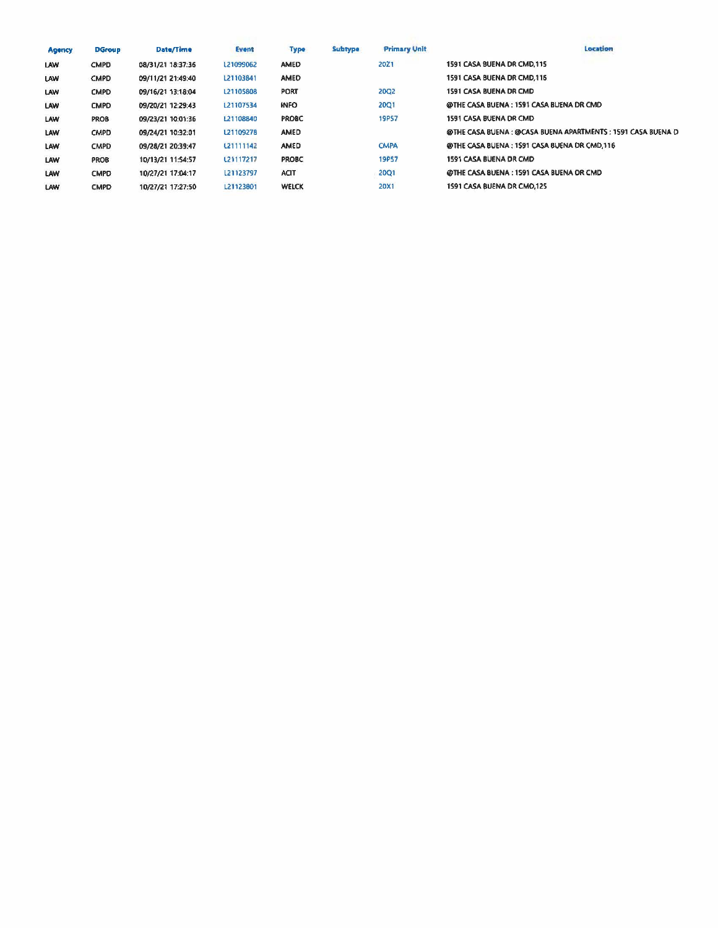| <b>Agency</b> | <b>DGroup</b> | Date/Time         | Event     | <b>Type</b>  | Subtype | <b>Primary Unit</b> | Location                                                     |
|---------------|---------------|-------------------|-----------|--------------|---------|---------------------|--------------------------------------------------------------|
| <b>LAW</b>    | <b>CMPD</b>   | 08/31/21 18:37:36 | L21099062 | <b>AMED</b>  |         | 20Z1                | 1591 CASA BUENA DR CMD.115                                   |
| <b>LAW</b>    | <b>CMPD</b>   | 09/11/21 21:49:40 | L21103841 | AMED         |         |                     | 1591 CASA BUENA DR CMD, 116                                  |
| LAW           | <b>CMPD</b>   | 09/16/21 13:18:04 | L21105808 | <b>PORT</b>  |         | 2002                | 1591 CASA BUENA DR CMD                                       |
| <b>LAW</b>    | <b>CMPD</b>   | 09/20/21 12:29:43 | L21107534 | <b>INFO</b>  |         | 20Q1                | @THE CASA BUENA: 1591 CASA BUENA DR CMD                      |
| LAW           | <b>PROB</b>   | 09/23/21 10:01:36 | 121108840 | <b>PROBC</b> |         | <b>19P57</b>        | 1591 CASA BUENA DR CMD                                       |
| LAW           | <b>CMPD</b>   | 09/24/21 10:32:01 | L21109278 | AMED         |         |                     | @THE CASA BUENA : @CASA BUENA APARTMENTS : 1591 CASA BUENA D |
| LAW           | <b>CMPD</b>   | 09/28/21 20:39:47 | L21111142 | AMED         |         | <b>CMPA</b>         | @THE CASA BUENA : 1591 CASA BUENA DR CMD 116                 |
| LAW           | <b>PROB</b>   | 10/13/21 11:54:57 | L21117217 | <b>PROBC</b> |         | <b>19P57</b>        | 1591 CASA BUENA DR CMD                                       |
| LAW           | <b>CMPD</b>   | 10/27/21 17:04:17 | L21123797 | <b>ACIT</b>  |         | 20Q1                | @THE CASA BUENA: 1591 CASA BUENA DR CMD                      |
| LAW           | <b>CMPD</b>   | 10/27/21 17:27:50 | L21123801 | <b>WELCK</b> |         | <b>20X1</b>         | 1591 CASA BUENA DR CMO.125                                   |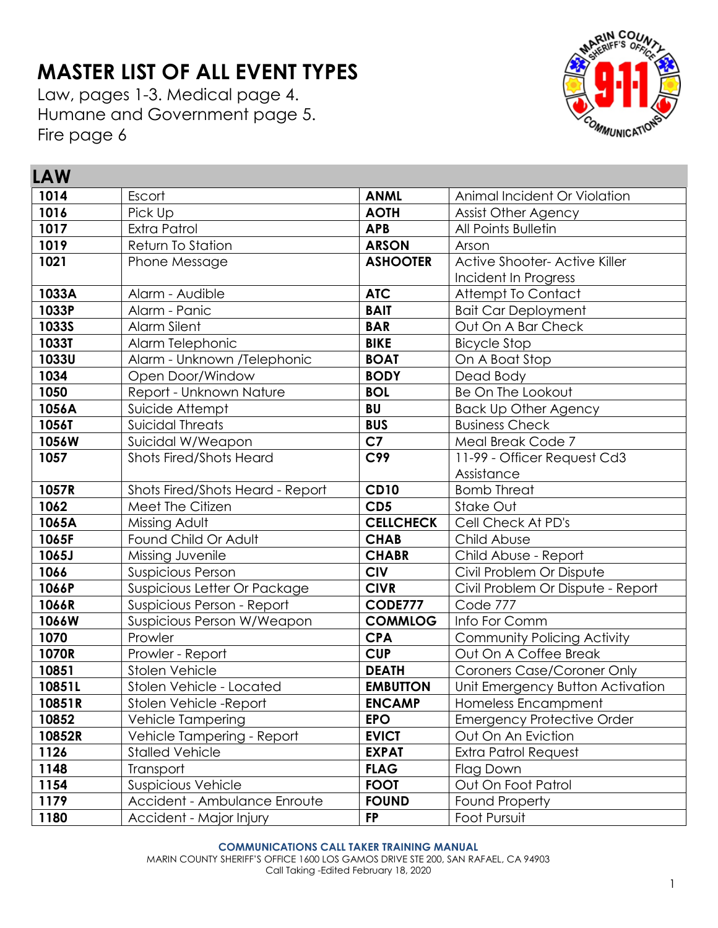# **MASTER LIST OF ALL EVENT TYPES**

Law, pages 1-3. Medical page 4. Humane and Government page 5. Fire page 6

**LAW** 



| <b>LAW</b>   |                                  |                  |                                   |
|--------------|----------------------------------|------------------|-----------------------------------|
| 1014         | Escort                           | <b>ANML</b>      | Animal Incident Or Violation      |
| 1016         | Pick Up                          | <b>AOTH</b>      | <b>Assist Other Agency</b>        |
| 1017         | <b>Extra Patrol</b>              | <b>APB</b>       | All Points Bulletin               |
| 1019         | Return To Station                | <b>ARSON</b>     | Arson                             |
| 1021         | Phone Message                    | <b>ASHOOTER</b>  | Active Shooter- Active Killer     |
|              |                                  |                  | Incident In Progress              |
| 1033A        | Alarm - Audible                  | <b>ATC</b>       | Attempt To Contact                |
| 1033P        | Alarm - Panic                    | <b>BAIT</b>      | <b>Bait Car Deployment</b>        |
| <b>1033S</b> | Alarm Silent                     | <b>BAR</b>       | Out On A Bar Check                |
| <b>1033T</b> | Alarm Telephonic                 | <b>BIKE</b>      | <b>Bicycle Stop</b>               |
| <b>1033U</b> | Alarm - Unknown /Telephonic      | <b>BOAT</b>      | On A Boat Stop                    |
| 1034         | Open Door/Window                 | <b>BODY</b>      | Dead Body                         |
| 1050         | Report - Unknown Nature          | <b>BOL</b>       | Be On The Lookout                 |
| 1056A        | Suicide Attempt                  | <b>BU</b>        | <b>Back Up Other Agency</b>       |
| 1056T        | <b>Suicidal Threats</b>          | <b>BUS</b>       | <b>Business Check</b>             |
| 1056W        | Suicidal W/Weapon                | C <sub>7</sub>   | Meal Break Code 7                 |
| 1057         | <b>Shots Fired/Shots Heard</b>   | C99              | 11-99 - Officer Request Cd3       |
|              |                                  |                  | Assistance                        |
| 1057R        | Shots Fired/Shots Heard - Report | <b>CD10</b>      | <b>Bomb Threat</b>                |
| 1062         | Meet The Citizen                 | CD <sub>5</sub>  | Stake Out                         |
| 1065A        | Missing Adult                    | <b>CELLCHECK</b> | Cell Check At PD's                |
| 1065F        | Found Child Or Adult             | <b>CHAB</b>      | Child Abuse                       |
| 1065J        | Missing Juvenile                 | <b>CHABR</b>     | Child Abuse - Report              |
| 1066         | <b>Suspicious Person</b>         | <b>CIV</b>       | Civil Problem Or Dispute          |
| 1066P        | Suspicious Letter Or Package     | <b>CIVR</b>      | Civil Problem Or Dispute - Report |
| 1066R        | Suspicious Person - Report       | <b>CODE777</b>   | Code 777                          |
| 1066W        | Suspicious Person W/Weapon       | <b>COMMLOG</b>   | Info For Comm                     |
| 1070         | Prowler                          | <b>CPA</b>       | Community Policing Activity       |
| 1070R        | Prowler - Report                 | <b>CUP</b>       | Out On A Coffee Break             |
| 10851        | Stolen Vehicle                   | <b>DEATH</b>     | <b>Coroners Case/Coroner Only</b> |
| 10851L       | Stolen Vehicle - Located         | <b>EMBUTTON</b>  | Unit Emergency Button Activation  |
| 10851R       | Stolen Vehicle-Report            | <b>ENCAMP</b>    | Homeless Encampment               |
| 10852        | Vehicle Tampering                | <b>EPO</b>       | <b>Emergency Protective Order</b> |
| 10852R       | Vehicle Tampering - Report       | <b>EVICT</b>     | Out On An Eviction                |
| 1126         | <b>Stalled Vehicle</b>           | <b>EXPAT</b>     | Extra Patrol Request              |
| 1148         | Transport                        | <b>FLAG</b>      | Flag Down                         |
| 1154         | <b>Suspicious Vehicle</b>        | <b>FOOT</b>      | Out On Foot Patrol                |
| 1179         | Accident - Ambulance Enroute     | <b>FOUND</b>     | Found Property                    |
| 1180         | Accident - Major Injury          | <b>FP</b>        | Foot Pursuit                      |

### **COMMUNICATIONS CALL TAKER TRAINING MANUAL**

MARIN COUNTY SHERIFF'S OFFICE 1600 LOS GAMOS DRIVE STE 200, SAN RAFAEL, CA 94903 Call Taking -Edited February 18, 2020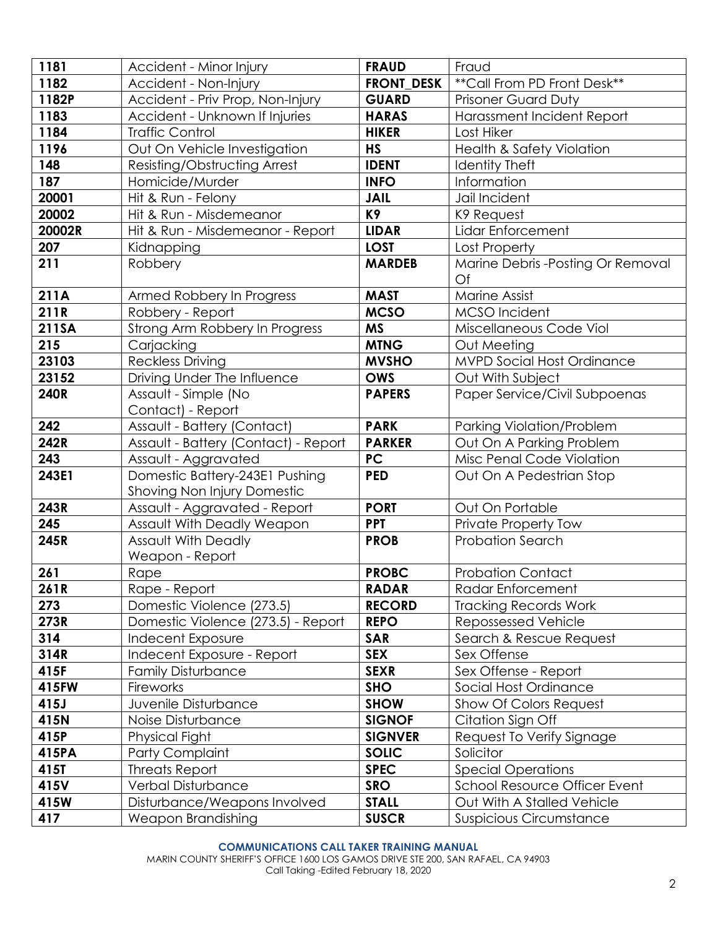| 1181        | Accident - Minor Injury                   | <b>FRAUD</b>      | Fraud                                    |
|-------------|-------------------------------------------|-------------------|------------------------------------------|
| 1182        | Accident - Non-Injury                     | <b>FRONT DESK</b> | ** Call From PD Front Desk**             |
| 1182P       | Accident - Priv Prop, Non-Injury          | <b>GUARD</b>      | <b>Prisoner Guard Duty</b>               |
| 1183        | Accident - Unknown If Injuries            | <b>HARAS</b>      | Harassment Incident Report               |
| 1184        | <b>Traffic Control</b>                    | <b>HIKER</b>      | Lost Hiker                               |
| 1196        | Out On Vehicle Investigation              | <b>HS</b>         | <b>Health &amp; Safety Violation</b>     |
| 148         | Resisting/Obstructing Arrest              | <b>IDENT</b>      | <b>Identity Theft</b>                    |
| 187         | Homicide/Murder                           | <b>INFO</b>       | Information                              |
| 20001       | Hit & Run - Felony                        | <b>JAIL</b>       | Jail Incident                            |
| 20002       | Hit & Run - Misdemeanor                   | K9                | K9 Request                               |
| 20002R      | Hit & Run - Misdemeanor - Report          | <b>LIDAR</b>      | Lidar Enforcement                        |
| 207         | Kidnapping                                | <b>LOST</b>       | Lost Property                            |
| 211         | Robbery                                   | <b>MARDEB</b>     | Marine Debris - Posting Or Removal<br>Of |
| 211A        | Armed Robbery In Progress                 | <b>MAST</b>       | Marine Assist                            |
| 211R        | Robbery - Report                          | <b>MCSO</b>       | MCSO Incident                            |
| 211SA       | Strong Arm Robbery In Progress            | <b>MS</b>         | Miscellaneous Code Viol                  |
| 215         | Carjacking                                | <b>MTNG</b>       | Out Meeting                              |
| 23103       | <b>Reckless Driving</b>                   | <b>MVSHO</b>      | <b>MVPD Social Host Ordinance</b>        |
| 23152       | Driving Under The Influence               | <b>OWS</b>        | Out With Subject                         |
| <b>240R</b> | Assault - Simple (No<br>Contact) - Report | <b>PAPERS</b>     | Paper Service/Civil Subpoenas            |
| 242         | Assault - Battery (Contact)               | <b>PARK</b>       | Parking Violation/Problem                |
| 242R        | Assault - Battery (Contact) - Report      | <b>PARKER</b>     | Out On A Parking Problem                 |
| 243         | Assault - Aggravated                      | PC                | Misc Penal Code Violation                |
| 243E1       | Domestic Battery-243E1 Pushing            | <b>PED</b>        | Out On A Pedestrian Stop                 |
|             | <b>Shoving Non Injury Domestic</b>        |                   |                                          |
| 243R        | Assault - Aggravated - Report             | <b>PORT</b>       | Out On Portable                          |
| 245         | Assault With Deadly Weapon                | <b>PPT</b>        | Private Property Tow                     |
| 245R        | <b>Assault With Deadly</b>                | <b>PROB</b>       | <b>Probation Search</b>                  |
|             | Weapon - Report                           |                   |                                          |
| 261         | Rape                                      | <b>PROBC</b>      | <b>Probation Contact</b>                 |
| 261R        | Rape - Report                             | <b>RADAR</b>      | Radar Enforcement                        |
| 273         | Domestic Violence (273.5)                 | <b>RECORD</b>     | <b>Tracking Records Work</b>             |
| 273R        | Domestic Violence (273.5) - Report        | <b>REPO</b>       | Repossessed Vehicle                      |
| 314         | Indecent Exposure                         | <b>SAR</b>        | Search & Rescue Request                  |
| 314R        | Indecent Exposure - Report                | <b>SEX</b>        | Sex Offense                              |
| 415F        | <b>Family Disturbance</b>                 | <b>SEXR</b>       | Sex Offense - Report                     |
| 415FW       | Fireworks                                 | <b>SHO</b>        | Social Host Ordinance                    |
| 415J        | Juvenile Disturbance                      | <b>SHOW</b>       | Show Of Colors Request                   |
| 415N        | Noise Disturbance                         | <b>SIGNOF</b>     | Citation Sign Off                        |
| 415P        | Physical Fight                            | <b>SIGNVER</b>    | Request To Verify Signage                |
| 415PA       | Party Complaint                           | <b>SOLIC</b>      | Solicitor                                |
| 415T        | <b>Threats Report</b>                     | <b>SPEC</b>       | <b>Special Operations</b>                |
| 415V        | Verbal Disturbance                        | <b>SRO</b>        | <b>School Resource Officer Event</b>     |
| 415W        | Disturbance/Weapons Involved              | <b>STALL</b>      | Out With A Stalled Vehicle               |
| 417         | Weapon Brandishing                        | <b>SUSCR</b>      | <b>Suspicious Circumstance</b>           |

### **COMMUNICATIONS CALL TAKER TRAINING MANUAL**

MARIN COUNTY SHERIFF'S OFFICE 1600 LOS GAMOS DRIVE STE 200, SAN RAFAEL, CA 94903 Call Taking -Edited February 18, 2020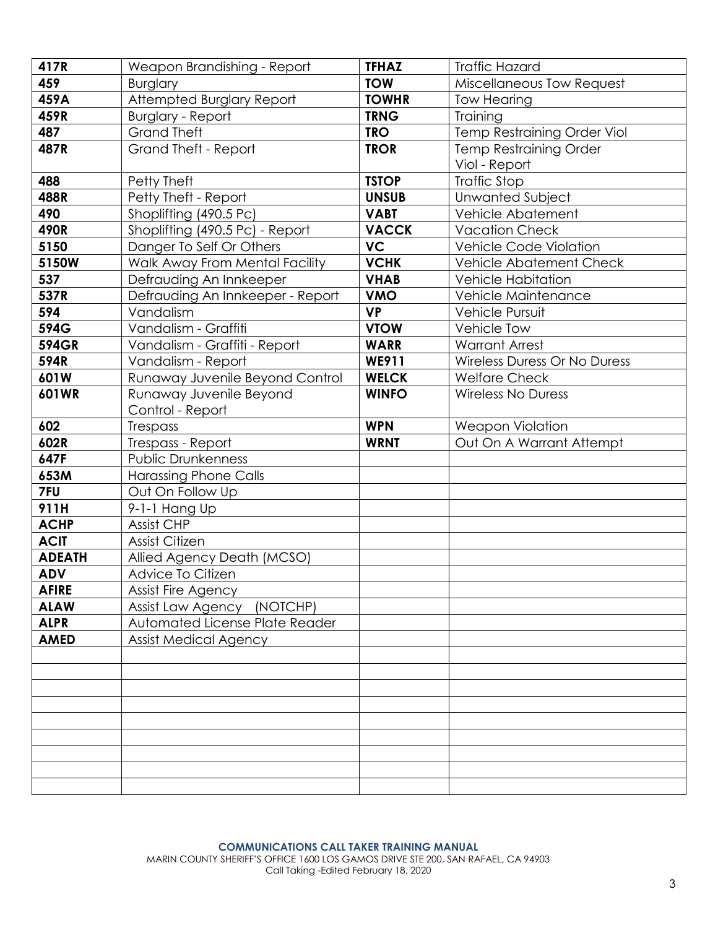| 417R          | Weapon Brandishing - Report      | <b>TFHAZ</b> | <b>Traffic Hazard</b>         |
|---------------|----------------------------------|--------------|-------------------------------|
| 459           | <b>Burglary</b>                  | <b>TOW</b>   | Miscellaneous Tow Request     |
| 459A          | Attempted Burglary Report        | <b>TOWHR</b> | <b>Tow Hearing</b>            |
| 459R          | <b>Burglary - Report</b>         | <b>TRNG</b>  | Training                      |
| 487           | <b>Grand Theft</b>               | <b>TRO</b>   | Temp Restraining Order Viol   |
| 487R          | Grand Theft - Report             | <b>TROR</b>  | <b>Temp Restraining Order</b> |
|               |                                  |              | Viol - Report                 |
| 488           | Petty Theft                      | <b>TSTOP</b> | <b>Traffic Stop</b>           |
| 488R          | Petty Theft - Report             | <b>UNSUB</b> | <b>Unwanted Subject</b>       |
| 490           | Shoplifting (490.5 Pc)           | <b>VABT</b>  | Vehicle Abatement             |
| 490R          | Shoplifting (490.5 Pc) - Report  | <b>VACCK</b> | <b>Vacation Check</b>         |
| 5150          | Danger To Self Or Others         | <b>VC</b>    | Vehicle Code Violation        |
| 5150W         | Walk Away From Mental Facility   | <b>VCHK</b>  | Vehicle Abatement Check       |
| 537           | Defrauding An Innkeeper          | <b>VHAB</b>  | <b>Vehicle Habitation</b>     |
| 537R          | Defrauding An Innkeeper - Report | <b>VMO</b>   | Vehicle Maintenance           |
| 594           | Vandalism                        | <b>VP</b>    | Vehicle Pursuit               |
| 594G          | Vandalism - Graffiti             | <b>VTOW</b>  | <b>Vehicle Tow</b>            |
| <b>594GR</b>  | Vandalism - Graffiti - Report    | <b>WARR</b>  | <b>Warrant Arrest</b>         |
| 594R          | Vandalism - Report               | WE911        | Wireless Duress Or No Duress  |
| 601W          | Runaway Juvenile Beyond Control  | <b>WELCK</b> | <b>Welfare Check</b>          |
| 601WR         | Runaway Juvenile Beyond          | <b>WINFO</b> | <b>Wireless No Duress</b>     |
|               | Control - Report                 |              |                               |
| 602           | Trespass                         | <b>WPN</b>   | <b>Weapon Violation</b>       |
| 602R          | Trespass - Report                | <b>WRNT</b>  | Out On A Warrant Attempt      |
| 647F          | <b>Public Drunkenness</b>        |              |                               |
| 653M          | <b>Harassing Phone Calls</b>     |              |                               |
| 7FU           | Out On Follow Up                 |              |                               |
| 911H          | 9-1-1 Hang Up                    |              |                               |
| <b>ACHP</b>   | <b>Assist CHP</b>                |              |                               |
| <b>ACIT</b>   | <b>Assist Citizen</b>            |              |                               |
| <b>ADEATH</b> | Allied Agency Death (MCSO)       |              |                               |
| <b>ADV</b>    | Advice To Citizen                |              |                               |
| <b>AFIRE</b>  | Assist Fire Agency               |              |                               |
| <b>ALAW</b>   | Assist Law Agency (NOTCHP)       |              |                               |
| <b>ALPR</b>   | Automated License Plate Reader   |              |                               |
| <b>AMED</b>   | <b>Assist Medical Agency</b>     |              |                               |
|               |                                  |              |                               |
|               |                                  |              |                               |
|               |                                  |              |                               |
|               |                                  |              |                               |
|               |                                  |              |                               |
|               |                                  |              |                               |
|               |                                  |              |                               |
|               |                                  |              |                               |
|               |                                  |              |                               |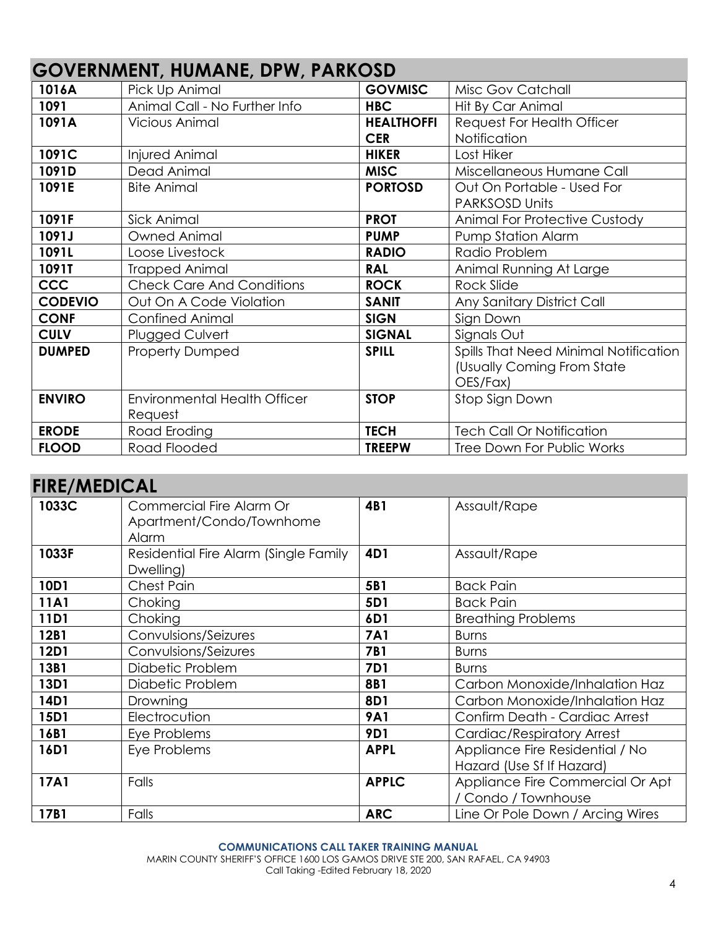|                | U U I LINI WILITI, HUINFITL, DI II, I FINNUUD |                   |                                       |
|----------------|-----------------------------------------------|-------------------|---------------------------------------|
| 1016A          | Pick Up Animal                                | <b>GOVMISC</b>    | Misc Gov Catchall                     |
| 1091           | Animal Call - No Further Info                 | <b>HBC</b>        | Hit By Car Animal                     |
| 1091A          | <b>Vicious Animal</b>                         | <b>HEALTHOFFI</b> | <b>Request For Health Officer</b>     |
|                |                                               | <b>CER</b>        | Notification                          |
| 1091C          | Injured Animal                                | <b>HIKER</b>      | Lost Hiker                            |
| 1091D          | Dead Animal                                   | <b>MISC</b>       | Miscellaneous Humane Call             |
| 1091E          | <b>Bite Animal</b>                            | <b>PORTOSD</b>    | Out On Portable - Used For            |
|                |                                               |                   | <b>PARKSOSD Units</b>                 |
| 1091F          | Sick Animal                                   | <b>PROT</b>       | <b>Animal For Protective Custody</b>  |
| 1091J          | Owned Animal                                  | <b>PUMP</b>       | Pump Station Alarm                    |
| 1091L          | Loose Livestock                               | <b>RADIO</b>      | Radio Problem                         |
| 1091T          | <b>Trapped Animal</b>                         | <b>RAL</b>        | Animal Running At Large               |
| <b>CCC</b>     | <b>Check Care And Conditions</b>              | <b>ROCK</b>       | Rock Slide                            |
| <b>CODEVIO</b> | Out On A Code Violation                       | <b>SANIT</b>      | Any Sanitary District Call            |
| <b>CONF</b>    | <b>Confined Animal</b>                        | <b>SIGN</b>       | Sign Down                             |
| <b>CULV</b>    | Plugged Culvert                               | <b>SIGNAL</b>     | Signals Out                           |
| <b>DUMPED</b>  | <b>Property Dumped</b>                        | <b>SPILL</b>      | Spills That Need Minimal Notification |
|                |                                               |                   | (Usually Coming From State            |
|                |                                               |                   | OES/Fax)                              |
| <b>ENVIRO</b>  | <b>Environmental Health Officer</b>           | <b>STOP</b>       | Stop Sign Down                        |
|                | Request                                       |                   |                                       |
| <b>ERODE</b>   | Road Eroding                                  | <b>TECH</b>       | <b>Tech Call Or Notification</b>      |
| <b>FLOOD</b>   | Road Flooded                                  | <b>TREEPW</b>     | <b>Tree Down For Public Works</b>     |

## **GOVERNMENT, HUMANE, DPW, PARKOSD**

### **FIRE/MEDICAL**

| , ,,\⊑ <i>, ,</i> ,,⊾p, ,⊌, \⊑ |                                                      |              |                                       |
|--------------------------------|------------------------------------------------------|--------------|---------------------------------------|
| 1033C                          | Commercial Fire Alarm Or<br>Apartment/Condo/Townhome | 4B1          | Assault/Rape                          |
|                                | Alarm                                                |              |                                       |
| 1033F                          | Residential Fire Alarm (Single Family                | 4D1          | Assault/Rape                          |
|                                | Dwelling)                                            |              |                                       |
| 10D1                           | <b>Chest Pain</b>                                    | 5B1          | <b>Back Pain</b>                      |
| 11A1                           | Choking                                              | 5D1          | <b>Back Pain</b>                      |
| 11D1                           | Choking                                              | 6D1          | <b>Breathing Problems</b>             |
| 12B1                           | Convulsions/Seizures                                 | <b>7A1</b>   | <b>Burns</b>                          |
| 12D1                           | Convulsions/Seizures                                 | <b>7B1</b>   | <b>Burns</b>                          |
| 13B1                           | Diabetic Problem                                     | <b>7D1</b>   | <b>Burns</b>                          |
| 13D1                           | Diabetic Problem                                     | <b>8B1</b>   | Carbon Monoxide/Inhalation Haz        |
| 14D1                           | Drowning                                             | 8D1          | Carbon Monoxide/Inhalation Haz        |
| 15D1                           | Electrocution                                        | <b>9A1</b>   | <b>Confirm Death - Cardiac Arrest</b> |
| 16B1                           | Eye Problems                                         | <b>9D1</b>   | Cardiac/Respiratory Arrest            |
| 16D1                           | Eye Problems                                         | <b>APPL</b>  | Appliance Fire Residential / No       |
|                                |                                                      |              | Hazard (Use Sf If Hazard)             |
| 17A1                           | Falls                                                | <b>APPLC</b> | Appliance Fire Commercial Or Apt      |
|                                |                                                      |              | / Condo / Townhouse                   |
| 17B1                           | Falls                                                | <b>ARC</b>   | Line Or Pole Down / Arcing Wires      |

### **COMMUNICATIONS CALL TAKER TRAINING MANUAL**

MARIN COUNTY SHERIFF'S OFFICE 1600 LOS GAMOS DRIVE STE 200, SAN RAFAEL, CA 94903 Call Taking -Edited February 18, 2020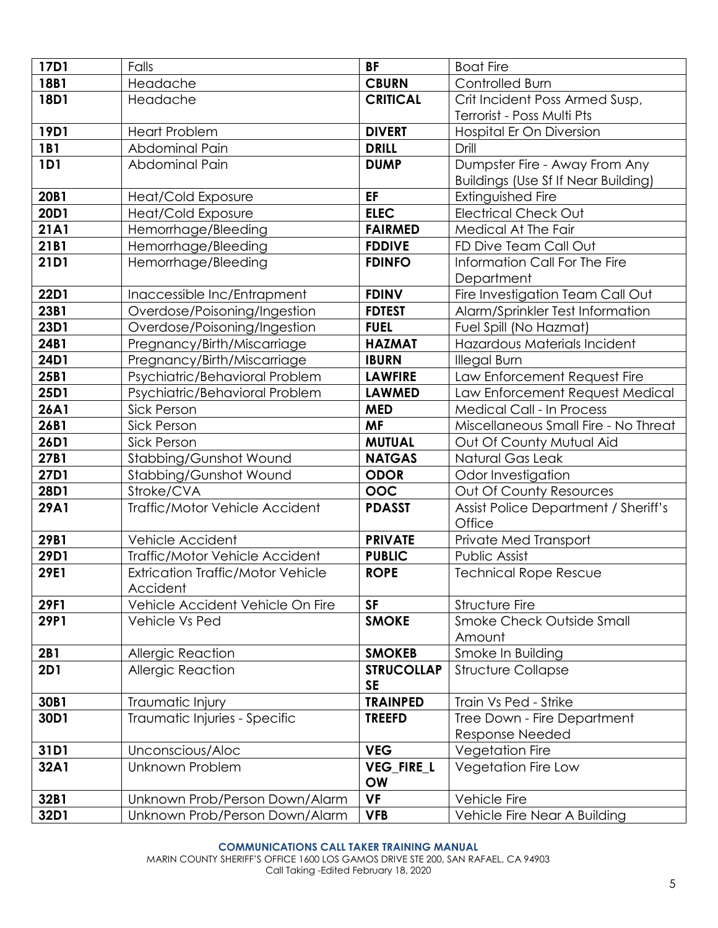| 17D1        | Falls                                    | <b>BF</b>         | <b>Boat Fire</b>                           |
|-------------|------------------------------------------|-------------------|--------------------------------------------|
| 18B1        | Headache                                 | <b>CBURN</b>      | Controlled Burn                            |
| 18D1        | Headache                                 | <b>CRITICAL</b>   | Crit Incident Poss Armed Susp,             |
|             |                                          |                   | Terrorist - Poss Multi Pts                 |
| 19D1        | <b>Heart Problem</b>                     | <b>DIVERT</b>     | Hospital Er On Diversion                   |
| 1B1         | Abdominal Pain                           | <b>DRILL</b>      | Drill                                      |
| 1D1         | Abdominal Pain                           | <b>DUMP</b>       | Dumpster Fire - Away From Any              |
|             |                                          |                   | <b>Buildings (Use Sf If Near Building)</b> |
| 20B1        | Heat/Cold Exposure                       | EF                | Extinguished Fire                          |
| 20D1        | Heat/Cold Exposure                       | <b>ELEC</b>       | <b>Electrical Check Out</b>                |
| 21A1        | Hemorrhage/Bleeding                      | <b>FAIRMED</b>    | Medical At The Fair                        |
| 21B1        | Hemorrhage/Bleeding                      | <b>FDDIVE</b>     | FD Dive Team Call Out                      |
| 21D1        | Hemorrhage/Bleeding                      | <b>FDINFO</b>     | Information Call For The Fire              |
|             |                                          |                   | Department                                 |
| 22D1        | Inaccessible Inc/Entrapment              | <b>FDINV</b>      | Fire Investigation Team Call Out           |
| 23B1        | Overdose/Poisoning/Ingestion             | <b>FDTEST</b>     | Alarm/Sprinkler Test Information           |
| 23D1        | Overdose/Poisoning/Ingestion             | <b>FUEL</b>       | Fuel Spill (No Hazmat)                     |
| 24B1        | Pregnancy/Birth/Miscarriage              | <b>HAZMAT</b>     | Hazardous Materials Incident               |
| 24D1        | Pregnancy/Birth/Miscarriage              | <b>IBURN</b>      | <b>Illegal Burn</b>                        |
| 25B1        | Psychiatric/Behavioral Problem           | <b>LAWFIRE</b>    | Law Enforcement Request Fire               |
| 25D1        | Psychiatric/Behavioral Problem           | <b>LAWMED</b>     | Law Enforcement Request Medical            |
| 26A1        | <b>Sick Person</b>                       | <b>MED</b>        | <b>Medical Call - In Process</b>           |
| 26B1        | <b>Sick Person</b>                       | <b>MF</b>         | Miscellaneous Small Fire - No Threat       |
| 26D1        | <b>Sick Person</b>                       | <b>MUTUAL</b>     | Out Of County Mutual Aid                   |
| 27B1        | Stabbing/Gunshot Wound                   | <b>NATGAS</b>     | Natural Gas Leak                           |
| 27D1        | Stabbing/Gunshot Wound                   | <b>ODOR</b>       | Odor Investigation                         |
| 28D1        | Stroke/CVA                               | OOC               | Out Of County Resources                    |
| <b>29A1</b> | Traffic/Motor Vehicle Accident           | <b>PDASST</b>     | Assist Police Department / Sheriff's       |
|             |                                          |                   | Office                                     |
| 29B1        | Vehicle Accident                         | <b>PRIVATE</b>    | Private Med Transport                      |
| 29D1        | Traffic/Motor Vehicle Accident           | <b>PUBLIC</b>     | Public Assist                              |
| 29E1        | <b>Extrication Traffic/Motor Vehicle</b> | <b>ROPE</b>       | <b>Technical Rope Rescue</b>               |
|             | Accident                                 |                   |                                            |
| 29F1        | Vehicle Accident Vehicle On Fire         | <b>SF</b>         | <b>Structure Fire</b>                      |
| 29P1        | Vehicle Vs Ped                           | <b>SMOKE</b>      | <b>Smoke Check Outside Small</b><br>Amount |
| 2B1         | Allergic Reaction                        | <b>SMOKEB</b>     | Smoke In Building                          |
| <b>2D1</b>  | <b>Allergic Reaction</b>                 | <b>STRUCOLLAP</b> | <b>Structure Collapse</b>                  |
|             |                                          | <b>SE</b>         |                                            |
| 30B1        | Traumatic Injury                         | <b>TRAINPED</b>   | Train Vs Ped - Strike                      |
| 30D1        | Traumatic Injuries - Specific            | <b>TREEFD</b>     | Tree Down - Fire Department                |
|             |                                          |                   | <b>Response Needed</b>                     |
| 31D1        | Unconscious/Aloc                         | <b>VEG</b>        | Vegetation Fire                            |
| 32A1        | <b>Unknown Problem</b>                   | <b>VEG_FIRE_L</b> | Vegetation Fire Low                        |
|             |                                          | <b>OW</b>         |                                            |
| 32B1        | Unknown Prob/Person Down/Alarm           | <b>VF</b>         | Vehicle Fire                               |
| 32D1        | Unknown Prob/Person Down/Alarm           | <b>VFB</b>        | Vehicle Fire Near A Building               |